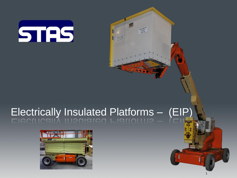

# Electrically Insulated Platforms – (EIP)

 $P P Q$ 

1

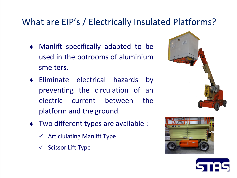#### What are EIP's / Electrically Insulated Platforms?

- Manlift specifically adapted to be used in the potrooms of aluminium smelters.
- Eliminate electrical hazards by preventing the circulation of an electric current between the platform and the ground.
- ◆ Two different types are available :
	- Articlulating Manlift Type
	- $\checkmark$  Scissor Lift Type





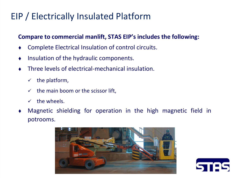### EIP / Electrically Insulated Platform

#### **Compare to commercial manlift, STAS EIP's includes the following:**

- Complete Electrical Insulation of control circuits.
- Insulation of the hydraulic components.
- Three levels of electrical-mechanical insulation.
	- $\checkmark$  the platform,
	- $\checkmark$  the main boom or the scissor lift,
	- $\checkmark$  the wheels.
- Magnetic shielding for operation in the high magnetic field in potrooms.



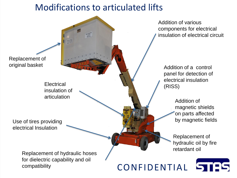#### Modifications to articulated lifts

Replacement of original basket

> **Electrical** insulation of articulation

Use of tires providing electrical Insulation

> Replacement of hydraulic hoses for dielectric capability and oil compatibility

Addition of various components for electrical insulation of electrical circuit

Addition of a control panel for detection of electrical insulation (RISS)

> Addition of magnetic shields on parts affected by magnetic fields

Replacement of hydraulic oil by fire retardant oil

TAS

CONFIDENTIAL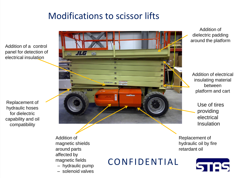#### Modifications to scissor lifts

Addition of a control panel for detection of electrical insulation

Replacement of hydraulic hoses for dielectric capability and oil compatibility



Addition of magnetic shields around parts affected by magnetic fields – hydraulic pump

– solenoid valves

CONFIDENTIAL

Addition of dielectric padding around the platform

Addition of electrical insulating material between platform and cart

Use of tires providing electrical Insulation

Replacement of hydraulic oil by fire retardant oil

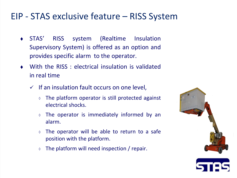#### EIP - STAS exclusive feature – RISS System

- STAS' RISS system (Realtime Insulation Supervisory System) is offered as an option and provides specific alarm to the operator.
- With the RISS : electrical insulation is validated in real time
	- $\checkmark$  If an insulation fault occurs on one level,
		- ◊ The platform operator is still protected against electrical shocks.
		- ◊ The operator is immediately informed by an alarm.
		- ◊ The operator will be able to return to a safe position with the platform.
		- ◊ The platform will need inspection / repair.



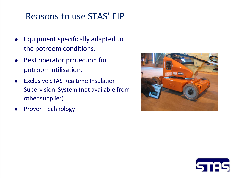#### Reasons to use STAS' EIP

- Equipment specifically adapted to the potroom conditions.
- ◆ Best operator protection for potroom utilisation.
- Exclusive STAS Realtime Insulation Supervision System (not available from other supplier)
- Proven Technology